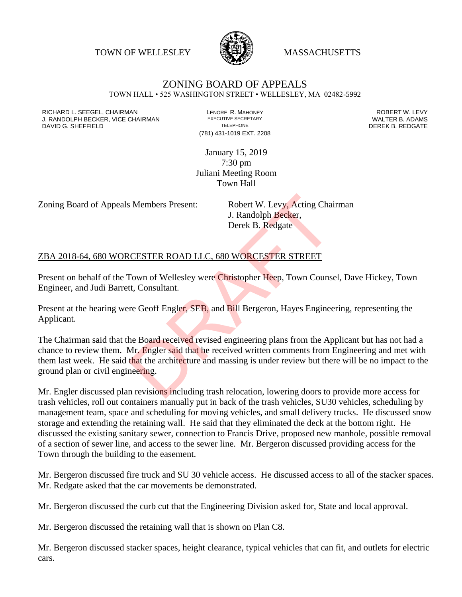TOWN OF WELLESLEY WASSACHUSETTS



## ZONING BOARD OF APPEALS

TOWN HALL • 525 WASHINGTON STREET • WELLESLEY, MA 02482-5992

RICHARD L. SEEGEL, CHAIRMAN LENORE R. MAHONEY ROBERT W. LEVY J. RANDOLPH BECKER, VICE CHAIRMAN EXECUTIVE SECRETARY THE SECRETARY THE SANDOLPH BECKER B. ADAMS<br>DEREK B. REDGATE TELEPHONE TELEPHONE TELEPHONE TELEPHONE DAVID G. SHEFFIELD

(781) 431-1019 EXT. 2208

January 15, 2019 7:30 pm Juliani Meeting Room Town Hall

Zoning Board of Appeals Members Present: Robert W. Levy, Acting Chairman

J. Randolph Becker, Derek B. Redgate

## ZBA 2018-64, 680 WORCESTER ROAD LLC, 680 WORCESTER STREET

Present on behalf of the Town of Wellesley were Christopher Heep, Town Counsel, Dave Hickey, Town Engineer, and Judi Barrett, Consultant.

Present at the hearing were Geoff Engler, SEB, and Bill Bergeron, Hayes Engineering, representing the Applicant.

The Chairman said that the Board received revised engineering plans from the Applicant but has not had a chance to review them. Mr. Engler said that he received written comments from Engineering and met with them last week. He said that the architecture and massing is under review but there will be no impact to the ground plan or civil engineering. S. Members Present: Robert W. Levy, Acting Chain<br>
J. Randolph Becker,<br>
Derek B. Redgate<br>
CESTER ROAD LLC, 680 WORCESTER STREET<br>
Frown of Wellesley were Christopher Heep, Town Counset<br>
tt, Consultant.<br>
The Geoff Engler, SEB

Mr. Engler discussed plan revisions including trash relocation, lowering doors to provide more access for trash vehicles, roll out containers manually put in back of the trash vehicles, SU30 vehicles, scheduling by management team, space and scheduling for moving vehicles, and small delivery trucks. He discussed snow storage and extending the retaining wall. He said that they eliminated the deck at the bottom right. He discussed the existing sanitary sewer, connection to Francis Drive, proposed new manhole, possible removal of a section of sewer line, and access to the sewer line. Mr. Bergeron discussed providing access for the Town through the building to the easement.

Mr. Bergeron discussed fire truck and SU 30 vehicle access. He discussed access to all of the stacker spaces. Mr. Redgate asked that the car movements be demonstrated.

Mr. Bergeron discussed the curb cut that the Engineering Division asked for, State and local approval.

Mr. Bergeron discussed the retaining wall that is shown on Plan C8.

Mr. Bergeron discussed stacker spaces, height clearance, typical vehicles that can fit, and outlets for electric cars.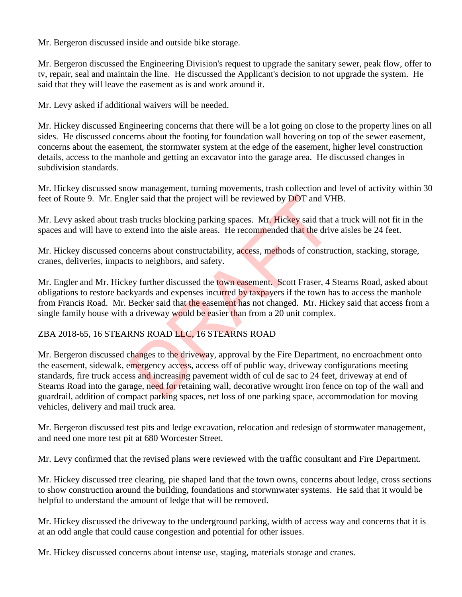Mr. Bergeron discussed inside and outside bike storage.

Mr. Bergeron discussed the Engineering Division's request to upgrade the sanitary sewer, peak flow, offer to tv, repair, seal and maintain the line. He discussed the Applicant's decision to not upgrade the system. He said that they will leave the easement as is and work around it.

Mr. Levy asked if additional waivers will be needed.

Mr. Hickey discussed Engineering concerns that there will be a lot going on close to the property lines on all sides. He discussed concerns about the footing for foundation wall hovering on top of the sewer easement, concerns about the easement, the stormwater system at the edge of the easement, higher level construction details, access to the manhole and getting an excavator into the garage area. He discussed changes in subdivision standards.

Mr. Hickey discussed snow management, turning movements, trash collection and level of activity within 30 feet of Route 9. Mr. Engler said that the project will be reviewed by DOT and VHB.

Mr. Levy asked about trash trucks blocking parking spaces. Mr. Hickey said that a truck will not fit in the spaces and will have to extend into the aisle areas. He recommended that the drive aisles be 24 feet.

Mr. Hickey discussed concerns about constructability, access, methods of construction, stacking, storage, cranes, deliveries, impacts to neighbors, and safety.

Mr. Engler and Mr. Hickey further discussed the town easement. Scott Fraser, 4 Stearns Road, asked about obligations to restore backyards and expenses incurred by taxpayers if the town has to access the manhole from Francis Road. Mr. Becker said that the easement has not changed. Mr. Hickey said that access from a single family house with a driveway would be easier than from a 20 unit complex.

## ZBA 2018-65, 16 STEARNS ROAD LLC, 16 STEARNS ROAD

Mr. Bergeron discussed changes to the driveway, approval by the Fire Department, no encroachment onto the easement, sidewalk, emergency access, access off of public way, driveway configurations meeting standards, fire truck access and increasing pavement width of cul de sac to 24 feet, driveway at end of Stearns Road into the garage, need for retaining wall, decorative wrought iron fence on top of the wall and guardrail, addition of compact parking spaces, net loss of one parking space, accommodation for moving vehicles, delivery and mail truck area. ler said that the project will be reviewed by DOT and VH<br>sh trucks blocking parking spaces. Mr. Hickey said that<br>xtend into the aisle areas. He recommended that the driv<br>necerns about constructability, access, methods of c

Mr. Bergeron discussed test pits and ledge excavation, relocation and redesign of stormwater management, and need one more test pit at 680 Worcester Street.

Mr. Levy confirmed that the revised plans were reviewed with the traffic consultant and Fire Department.

Mr. Hickey discussed tree clearing, pie shaped land that the town owns, concerns about ledge, cross sections to show construction around the building, foundations and storwmwater systems. He said that it would be helpful to understand the amount of ledge that will be removed.

Mr. Hickey discussed the driveway to the underground parking, width of access way and concerns that it is at an odd angle that could cause congestion and potential for other issues.

Mr. Hickey discussed concerns about intense use, staging, materials storage and cranes.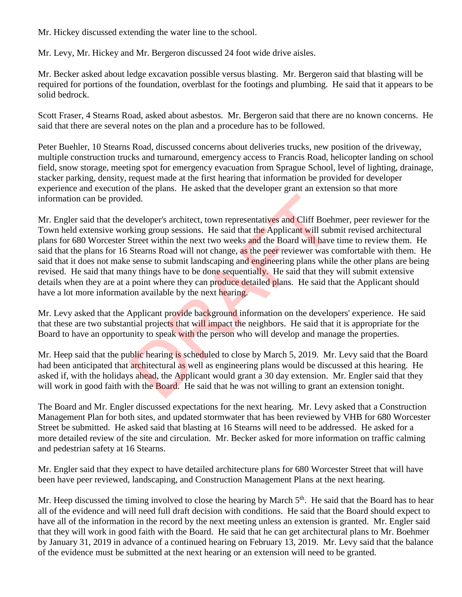Mr. Hickey discussed extending the water line to the school.

Mr. Levy, Mr. Hickey and Mr. Bergeron discussed 24 foot wide drive aisles.

Mr. Becker asked about ledge excavation possible versus blasting. Mr. Bergeron said that blasting will be required for portions of the foundation, overblast for the footings and plumbing. He said that it appears to be solid bedrock.

Scott Fraser, 4 Stearns Road, asked about asbestos. Mr. Bergeron said that there are no known concerns. He said that there are several notes on the plan and a procedure has to be followed.

Peter Buehler, 10 Stearns Road, discussed concerns about deliveries trucks, new position of the driveway, multiple construction trucks and turnaround, emergency access to Francis Road, helicopter landing on school field, snow storage, meeting spot for emergency evacuation from Sprague School, level of lighting, drainage, stacker parking, density, request made at the first hearing that information be provided for developer experience and execution of the plans. He asked that the developer grant an extension so that more information can be provided.

Mr. Engler said that the developer's architect, town representatives and Cliff Boehmer, peer reviewer for the Town held extensive working group sessions. He said that the Applicant will submit revised architectural plans for 680 Worcester Street within the next two weeks and the Board will have time to review them. He said that the plans for 16 Stearns Road will not change, as the peer reviewer was comfortable with them. He said that it does not make sense to submit landscaping and engineering plans while the other plans are being revised. He said that many things have to be done sequentially. He said that they will submit extensive details when they are at a point where they can produce detailed plans. He said that the Applicant should have a lot more information available by the next hearing. ded.<br>
developer's architect, town representatives and Cliff Boeh<br>
king group sessions. He said that the Applicant will sub<br>
Street within the next two weeks and the Board will have<br>
Streams Road will not change, as the pee

Mr. Levy asked that the Applicant provide background information on the developers' experience. He said that these are two substantial projects that will impact the neighbors. He said that it is appropriate for the Board to have an opportunity to speak with the person who will develop and manage the properties.

Mr. Heep said that the public hearing is scheduled to close by March 5, 2019. Mr. Levy said that the Board had been anticipated that architectural as well as engineering plans would be discussed at this hearing. He asked if, with the holidays ahead, the Applicant would grant a 30 day extension. Mr. Engler said that they will work in good faith with the **Board.** He said that he was not willing to grant an extension tonight.

The Board and Mr. Engler discussed expectations for the next hearing. Mr. Levy asked that a Construction Management Plan for both sites, and updated stormwater that has been reviewed by VHB for 680 Worcester Street be submitted. He asked said that blasting at 16 Stearns will need to be addressed. He asked for a more detailed review of the site and circulation. Mr. Becker asked for more information on traffic calming and pedestrian safety at 16 Stearns.

Mr. Engler said that they expect to have detailed architecture plans for 680 Worcester Street that will have been have peer reviewed, landscaping, and Construction Management Plans at the next hearing.

Mr. Heep discussed the timing involved to close the hearing by March  $5<sup>th</sup>$ . He said that the Board has to hear all of the evidence and will need full draft decision with conditions. He said that the Board should expect to have all of the information in the record by the next meeting unless an extension is granted. Mr. Engler said that they will work in good faith with the Board. He said that he can get architectural plans to Mr. Boehmer by January 31, 2019 in advance of a continued hearing on February 13, 2019. Mr. Levy said that the balance of the evidence must be submitted at the next hearing or an extension will need to be granted.